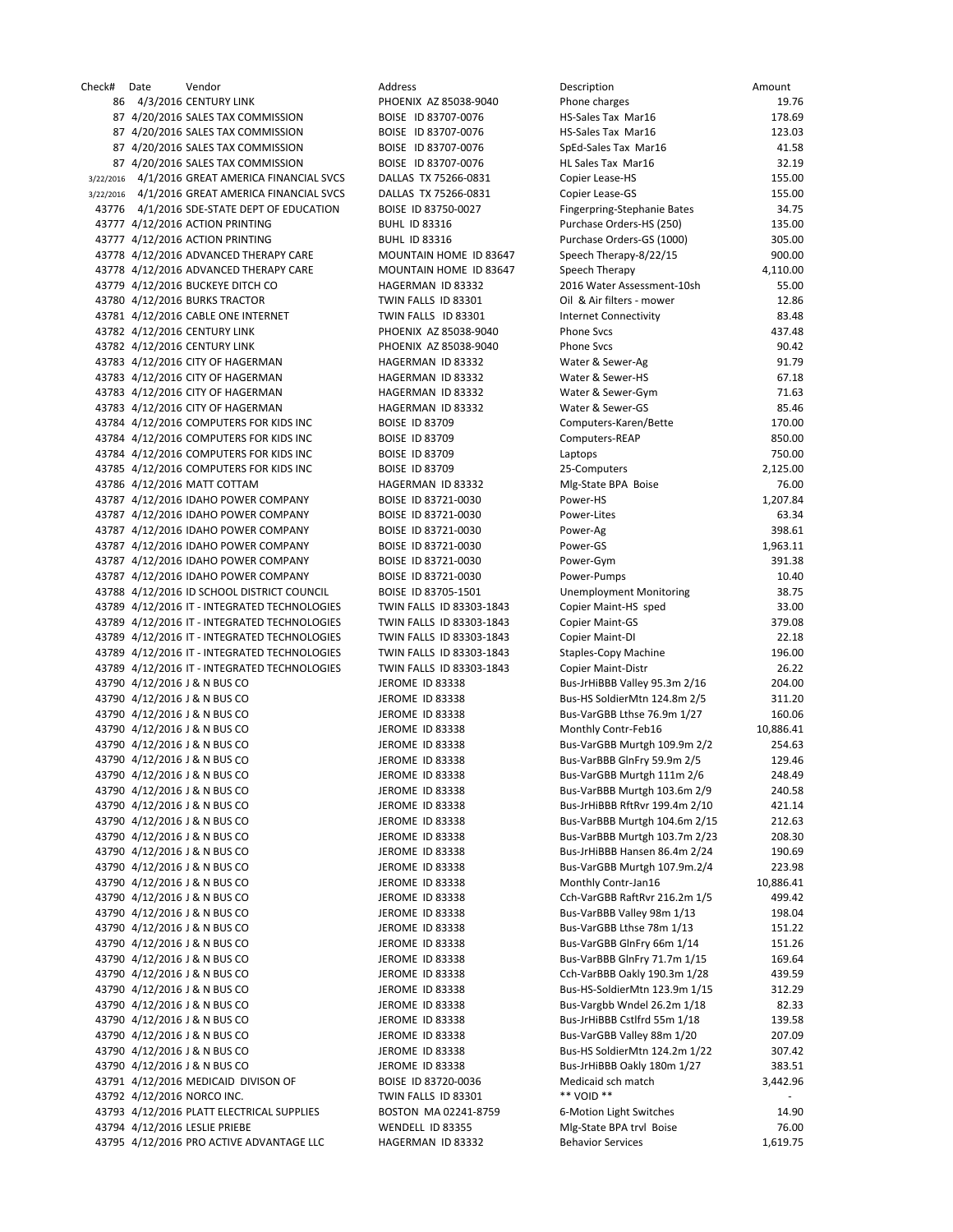| Check# | Date | Vendor                                          | Address                  | Description                    | Amount          |
|--------|------|-------------------------------------------------|--------------------------|--------------------------------|-----------------|
|        |      | 86 4/3/2016 CENTURY LINK                        | PHOENIX AZ 85038-9040    | Phone charges                  | 19.76           |
|        |      | 87 4/20/2016 SALES TAX COMMISSION               | BOISE ID 83707-0076      | HS-Sales Tax Mar16             | 178.69          |
|        |      | 87 4/20/2016 SALES TAX COMMISSION               | BOISE ID 83707-0076      | HS-Sales Tax Mar16             | 123.03          |
|        |      | 87 4/20/2016 SALES TAX COMMISSION               | BOISE ID 83707-0076      | SpEd-Sales Tax Mar16           | 41.58           |
|        |      | 87 4/20/2016 SALES TAX COMMISSION               | BOISE ID 83707-0076      | HL Sales Tax Mar16             | 32.19           |
|        |      | 3/22/2016 4/1/2016 GREAT AMERICA FINANCIAL SVCS | DALLAS TX 75266-0831     | Copier Lease-HS                | 155.00          |
|        |      | 3/22/2016 4/1/2016 GREAT AMERICA FINANCIAL SVCS | DALLAS TX 75266-0831     | Copier Lease-GS                | 155.00          |
|        |      | 43776 4/1/2016 SDE-STATE DEPT OF EDUCATION      | BOISE ID 83750-0027      | Fingerpring-Stephanie Bates    | 34.75           |
|        |      | 43777 4/12/2016 ACTION PRINTING                 | <b>BUHL ID 83316</b>     | Purchase Orders-HS (250)       | 135.00          |
|        |      | 43777 4/12/2016 ACTION PRINTING                 | <b>BUHL ID 83316</b>     | Purchase Orders-GS (1000)      | 305.00          |
|        |      | 43778 4/12/2016 ADVANCED THERAPY CARE           | MOUNTAIN HOME ID 83647   | Speech Therapy-8/22/15         | 900.00          |
|        |      | 43778 4/12/2016 ADVANCED THERAPY CARE           | MOUNTAIN HOME ID 83647   | Speech Therapy                 | 4,110.00        |
|        |      | 43779 4/12/2016 BUCKEYE DITCH CO                | HAGERMAN ID 83332        | 2016 Water Assessment-10sh     | 55.00           |
|        |      | 43780 4/12/2016 BURKS TRACTOR                   | TWIN FALLS ID 83301      | Oil & Air filters - mower      | 12.86           |
|        |      | 43781 4/12/2016 CABLE ONE INTERNET              | TWIN FALLS ID 83301      | <b>Internet Connectivity</b>   | 83.48           |
|        |      | 43782 4/12/2016 CENTURY LINK                    | PHOENIX AZ 85038-9040    | <b>Phone Svcs</b>              | 437.48          |
|        |      | 43782 4/12/2016 CENTURY LINK                    | PHOENIX AZ 85038-9040    | <b>Phone Svcs</b>              | 90.42           |
|        |      | 43783 4/12/2016 CITY OF HAGERMAN                | HAGERMAN ID 83332        | Water & Sewer-Ag               | 91.79           |
|        |      | 43783 4/12/2016 CITY OF HAGERMAN                | HAGERMAN ID 83332        | Water & Sewer-HS               | 67.18           |
|        |      | 43783 4/12/2016 CITY OF HAGERMAN                | HAGERMAN ID 83332        | Water & Sewer-Gym              | 71.63           |
|        |      | 43783 4/12/2016 CITY OF HAGERMAN                | HAGERMAN ID 83332        | Water & Sewer-GS               | 85.46           |
|        |      | 43784 4/12/2016 COMPUTERS FOR KIDS INC          | <b>BOISE ID 83709</b>    | Computers-Karen/Bette          | 170.00          |
|        |      | 43784 4/12/2016 COMPUTERS FOR KIDS INC          | <b>BOISE ID 83709</b>    | Computers-REAP                 | 850.00          |
|        |      | 43784 4/12/2016 COMPUTERS FOR KIDS INC          | <b>BOISE ID 83709</b>    | Laptops                        | 750.00          |
|        |      | 43785 4/12/2016 COMPUTERS FOR KIDS INC          | <b>BOISE ID 83709</b>    | 25-Computers                   | 2,125.00        |
|        |      | 43786 4/12/2016 MATT COTTAM                     | HAGERMAN ID 83332        | Mlg-State BPA Boise            | 76.00           |
|        |      | 43787 4/12/2016 IDAHO POWER COMPANY             | BOISE ID 83721-0030      | Power-HS                       | 1,207.84        |
|        |      | 43787 4/12/2016 IDAHO POWER COMPANY             | BOISE ID 83721-0030      | Power-Lites                    | 63.34           |
|        |      | 43787 4/12/2016 IDAHO POWER COMPANY             | BOISE ID 83721-0030      | Power-Ag                       | 398.61          |
|        |      | 43787 4/12/2016 IDAHO POWER COMPANY             | BOISE ID 83721-0030      | Power-GS                       | 1,963.11        |
|        |      | 43787 4/12/2016 IDAHO POWER COMPANY             | BOISE ID 83721-0030      | Power-Gym                      | 391.38          |
|        |      |                                                 |                          |                                |                 |
|        |      | 43787 4/12/2016 IDAHO POWER COMPANY             | BOISE ID 83721-0030      | Power-Pumps                    | 10.40<br>38.75  |
|        |      | 43788 4/12/2016 ID SCHOOL DISTRICT COUNCIL      | BOISE ID 83705-1501      | <b>Unemployment Monitoring</b> |                 |
|        |      | 43789 4/12/2016 IT - INTEGRATED TECHNOLOGIES    | TWIN FALLS ID 83303-1843 | Copier Maint-HS sped           | 33.00<br>379.08 |
|        |      | 43789 4/12/2016 IT - INTEGRATED TECHNOLOGIES    | TWIN FALLS ID 83303-1843 | <b>Copier Maint-GS</b>         |                 |
|        |      | 43789 4/12/2016 IT - INTEGRATED TECHNOLOGIES    | TWIN FALLS ID 83303-1843 | Copier Maint-DI                | 22.18           |
|        |      | 43789 4/12/2016 IT - INTEGRATED TECHNOLOGIES    | TWIN FALLS ID 83303-1843 | <b>Staples-Copy Machine</b>    | 196.00          |
|        |      | 43789 4/12/2016 IT - INTEGRATED TECHNOLOGIES    | TWIN FALLS ID 83303-1843 | <b>Copier Maint-Distr</b>      | 26.22           |
|        |      | 43790 4/12/2016 J & N BUS CO                    | JEROME ID 83338          | Bus-JrHiBBB Valley 95.3m 2/16  | 204.00          |
|        |      | 43790 4/12/2016 J & N BUS CO                    | JEROME ID 83338          | Bus-HS SoldierMtn 124.8m 2/5   | 311.20          |
|        |      | 43790 4/12/2016 J & N BUS CO                    | JEROME ID 83338          | Bus-VarGBB Lthse 76.9m 1/27    | 160.06          |
|        |      | 43790 4/12/2016 J & N BUS CO                    | JEROME ID 83338          | Monthly Contr-Feb16            | 10,886.41       |
|        |      | 43790 4/12/2016 J & N BUS CO                    | JEROME ID 83338          | Bus-VarGBB Murtgh 109.9m 2/2   | 254.63          |
|        |      | 43790 4/12/2016 J & N BUS CO                    | <b>JEROME ID 83338</b>   | Bus-VarBBB GlnFry 59.9m 2/5    | 129.46          |
|        |      | 43790 4/12/2016 J & N BUS CO                    | JEROME ID 83338          | Bus-VarGBB Murtgh 111m 2/6     | 248.49          |
|        |      | 43790 4/12/2016 J & N BUS CO                    | JEROME ID 83338          | Bus-VarBBB Murtgh 103.6m 2/9   | 240.58          |
|        |      | 43790 4/12/2016 J & N BUS CO                    | JEROME ID 83338          | Bus-JrHiBBB RftRvr 199.4m 2/10 | 421.14          |
|        |      | 43790 4/12/2016 J & N BUS CO                    | JEROME ID 83338          | Bus-VarBBB Murtgh 104.6m 2/15  | 212.63          |
|        |      | 43790 4/12/2016 J & N BUS CO                    | JEROME ID 83338          | Bus-VarBBB Murtgh 103.7m 2/23  | 208.30          |
|        |      | 43790 4/12/2016 J & N BUS CO                    | JEROME ID 83338          | Bus-JrHiBBB Hansen 86.4m 2/24  | 190.69          |
|        |      | 43790 4/12/2016 J & N BUS CO                    | JEROME ID 83338          | Bus-VarGBB Murtgh 107.9m.2/4   | 223.98          |
|        |      | 43790 4/12/2016 J & N BUS CO                    | JEROME ID 83338          | Monthly Contr-Jan16            | 10,886.41       |
|        |      | 43790 4/12/2016 J & N BUS CO                    | JEROME ID 83338          | Cch-VarGBB RaftRvr 216.2m 1/5  | 499.42          |
|        |      | 43790 4/12/2016 J & N BUS CO                    | JEROME ID 83338          | Bus-VarBBB Valley 98m 1/13     | 198.04          |
|        |      | 43790 4/12/2016 J & N BUS CO                    | JEROME ID 83338          | Bus-VarGBB Lthse 78m 1/13      | 151.22          |
|        |      | 43790 4/12/2016 J & N BUS CO                    | JEROME ID 83338          | Bus-VarGBB GlnFry 66m 1/14     | 151.26          |
|        |      | 43790 4/12/2016 J & N BUS CO                    | <b>JEROME ID 83338</b>   | Bus-VarBBB GlnFry 71.7m 1/15   | 169.64          |
|        |      | 43790 4/12/2016 J & N BUS CO                    | JEROME ID 83338          | Cch-VarBBB Oakly 190.3m 1/28   | 439.59          |
|        |      | 43790 4/12/2016 J & N BUS CO                    | JEROME ID 83338          | Bus-HS-SoldierMtn 123.9m 1/15  | 312.29          |
|        |      | 43790 4/12/2016 J & N BUS CO                    | JEROME ID 83338          | Bus-Vargbb Wndel 26.2m 1/18    | 82.33           |
|        |      | 43790 4/12/2016 J & N BUS CO                    | JEROME ID 83338          | Bus-JrHiBBB Cstlfrd 55m 1/18   | 139.58          |
|        |      | 43790 4/12/2016 J & N BUS CO                    | JEROME ID 83338          | Bus-VarGBB Valley 88m 1/20     | 207.09          |
|        |      | 43790 4/12/2016 J & N BUS CO                    | JEROME ID 83338          | Bus-HS SoldierMtn 124.2m 1/22  | 307.42          |
|        |      | 43790 4/12/2016 J & N BUS CO                    | JEROME ID 83338          | Bus-JrHiBBB Oakly 180m 1/27    | 383.51          |
|        |      | 43791 4/12/2016 MEDICAID DIVISON OF             | BOISE ID 83720-0036      | Medicaid sch match             | 3,442.96        |
|        |      | 43792 4/12/2016 NORCO INC.                      | TWIN FALLS ID 83301      | ** VOID **                     |                 |
|        |      | 43793 4/12/2016 PLATT ELECTRICAL SUPPLIES       | BOSTON MA 02241-8759     | 6-Motion Light Switches        | 14.90           |
|        |      | 43794 4/12/2016 LESLIE PRIEBE                   | WENDELL ID 83355         | Mlg-State BPA trvl Boise       | 76.00           |
|        |      | 43795 4/12/2016 PRO ACTIVE ADVANTAGE LLC        | HAGERMAN ID 83332        | <b>Behavior Services</b>       | 1,619.75        |
|        |      |                                                 |                          |                                |                 |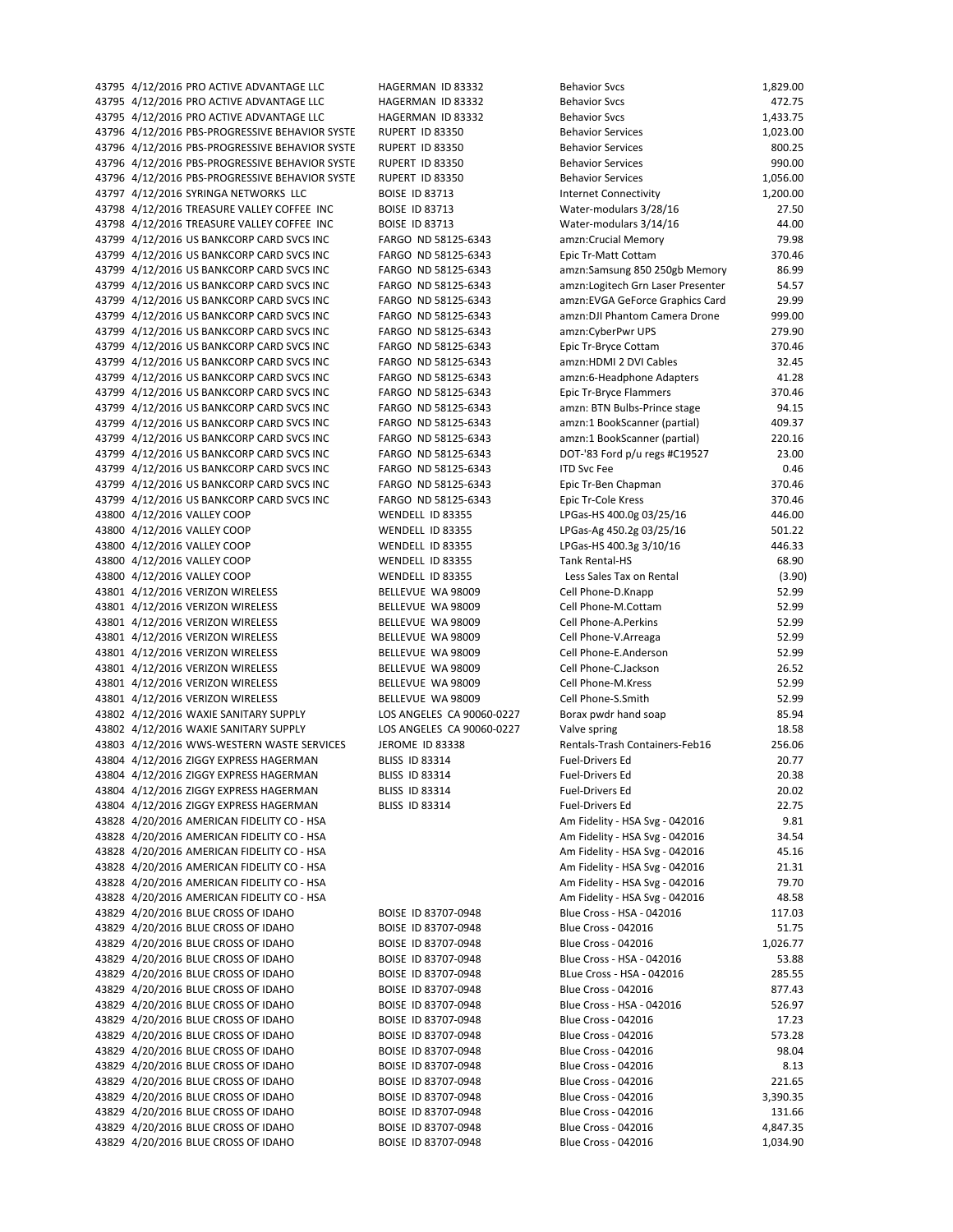43795 4/12/2016 PRO ACTIVE ADVANTAGE LLC HAGERMAN ID 83332 Behavior Svcs 472.75 43795 4/12/2016 PRO ACTIVE ADVANTAGE LLC HAGERMAN ID 83332 Behavior Svcs 8 84/12/2016 PRO ACTIVE ADVANTAGE LLC 43796 4/12/2016 PBS‐PROGRESSIVE BEHAVIOR SYSTE RUPERT ID 83350 Behavior Services 1,023.00 43796 4/12/2016 PBS-PROGRESSIVE BEHAVIOR SYSTE RUPERT ID 83350 Behavior Services 800.25 43796 4/12/2016 PBS-PROGRESSIVE BEHAVIOR SYSTE RUPERT ID 83350 Behavior Services 990.00 43796 4/12/2016 PBS-PROGRESSIVE BEHAVIOR SYSTE RUPERT ID 83350 Behavior Services 6 Behavior Services 1,056.00 43797 4/12/2016 SYRINGA NETWORKS LLC BOISE ID 83713 Internet Connectivity 1,200.00 43798 4/12/2016 TREASURE VALLEY COFFEE INC BOISE ID 83713 Water-modulars 3/28/16 27.50 43798 4/12/2016 TREASURE VALLEY COFFEE INC BOISE ID 83713 Water-modulars 3/14/16 44.00 43799 4/12/2016 US BANKCORP CARD SVCS INC FARGO ND 58125‐6343 amzn:Crucial Memory 79.98 43799 4/12/2016 US BANKCORP CARD SVCS INC FARGO ND 58125-6343 Epic Tr-Matt Cottam 370.46 43799 4/12/2016 US BANKCORP CARD SVCS INC FARGO ND 58125-6343 amzn:Samsung 850 250gb Memory 86.99 43799 4/12/2016 US BANKCORP CARD SVCS INC FARGO ND 58125‐6343 amzn:Logitech Grn Laser Presenter 54.57 43799 4/12/2016 US BANKCORP CARD SVCS INC FARGO ND 58125‐6343 amzn:EVGA GeForce Graphics Card 29.99 43799 4/12/2016 US BANKCORP CARD SVCS INC FARGO ND 58125‐6343 amzn:DJI Phantom Camera Drone 999.00 43799 4/12/2016 US BANKCORP CARD SVCS INC FARGO ND 58125‐6343 amzn:CyberPwr UPS 279.90 43799 4/12/2016 US BANKCORP CARD SVCS INC FARGO ND 58125‐6343 Epic Tr‐Bryce Cottam 370.46 43799 4/12/2016 US BANKCORP CARD SVCS INC FARGO ND 58125‐6343 amzn:HDMI 2 DVI Cables 32.45 43799 4/12/2016 US BANKCORP CARD SVCS INC FARGO ND 58125-6343 amzn:6-Headphone Adapters 41.28 43799 4/12/2016 US BANKCORP CARD SVCS INC FARGO ND 58125-6343 Epic Tr-Bryce Flammers 370.46 43799 4/12/2016 US BANKCORP CARD SVCS INC FARGO ND 58125‐6343 amzn: BTN Bulbs‐Prince stage 94.15 43799 4/12/2016 US BANKCORP CARD SVCS INC FARGO ND 58125-6343 amzn:1 BookScanner (partial) 409.37 43799 4/12/2016 US BANKCORP CARD SVCS INC FARGO ND 58125‐6343 amzn:1 BookScanner (partial) 220.16 43799 4/12/2016 US BANKCORP CARD SVCS INC FARGO ND 58125-6343 DOT-'83 Ford p/u regs #C19527 23.00 43799 4/12/2016 US BANKCORP CARD SVCS INC FARGO ND 58125-6343 ITD Svc Fee 0.46 43799 4/12/2016 US BANKCORP CARD SVCS INC FARGO ND 58125-6343 Epic Tr-Ben Chapman 370.46 43799 4/12/2016 US BANKCORP CARD SVCS INC FARGO ND 58125-6343 Epic Tr-Cole Kress 370.46 43800 4/12/2016 VALLEY COOP WENDELL ID 83355 LPGas-HS 400.0g 03/25/16 446.00 43800 4/12/2016 VALLEY COOP WENDELL ID 83355 LPGas-Ag 450.2g 03/25/16 501.22 43800 4/12/2016 VALLEY COOP WENDELL ID 83355 LPGas-HS 400.3g 3/10/16 446.33 43800 4/12/2016 VALLEY COOP WENDELL ID 83355 Tank Rental-HS 68.90 43800 4/12/2016 VALLEY COOP WENDELL ID 83355 Less Sales Tax on Rental (3.90) 43801 4/12/2016 VERIZON WIRELESS BELLEVUE WA 98009 Cell Phone-D.Knapp 52.99 43801 4/12/2016 VERIZON WIRELESS BELLEVUE WA 98009 Cell Phone‐M.Cottam 52.99 43801 4/12/2016 VERIZON WIRELESS BELLEVUE WA 98009 Cell Phone-A.Perkins 52.99 43801 4/12/2016 VERIZON WIRELESS BELLEVUE WA 98009 Cell Phone‐V.Arreaga 52.99 43801 4/12/2016 VERIZON WIRELESS BELLEVUE WA 98009 Cell Phone-E.Anderson 52.99 43801 4/12/2016 VERIZON WIRELESS BELLEVUE WA 98009 Cell Phone-C.Jackson 26.52 43801 4/12/2016 VERIZON WIRELESS BELLEVUE WA 98009 Cell Phone‐M.Kress 52.99 43801 4/12/2016 VERIZON WIRELESS BELLEVUE WA 98009 Cell Phone-S.Smith 52.99 43802 4/12/2016 WAXIE SANITARY SUPPLY LOS ANGELES CA 90060‐0227 Borax pwdr hand soap 85.94 43802 4/12/2016 WAXIE SANITARY SUPPLY LOS ANGELES CA 90060-0227 Valve spring 2015 18.58 43803 4/12/2016 WWS-WESTERN WASTE SERVICES JEROME ID 83338 Rentals-Trash Containers-Feb16 256.06 43804 4/12/2016 ZIGGY EXPRESS HAGERMAN BLISS ID 83314 Fuel‐Drivers Ed 20.77 43804 4/12/2016 ZIGGY EXPRESS HAGERMAN BLISS ID 83314 Fuel‐Drivers Ed 20.38 43804 4/12/2016 ZIGGY EXPRESS HAGERMAN BLISS ID 83314 Fuel‐Drivers Ed 20.02 43804 4/12/2016 ZIGGY EXPRESS HAGERMAN BLISS ID 83314 Fuel‐Drivers Ed 22.75 43828 4/20/2016 AMERICAN FIDELITY CO ‐ HSA Am Fidelity ‐ HSA Svg ‐ 042016 9.81 43828 4/20/2016 AMERICAN FIDELITY CO - HSA Am Fidelity - HSA Svg - 042016 34.54 43828 4/20/2016 AMERICAN FIDELITY CO ‐ HSA Am Fidelity ‐ HSA Svg ‐ 042016 45.16 43828 4/20/2016 AMERICAN FIDELITY CO ‐ HSA Am Fidelity ‐ HSA Svg ‐ 042016 21.31 43828 4/20/2016 AMERICAN FIDELITY CO ‐ HSA Am Fidelity ‐ HSA Svg ‐ 042016 79.70 43828 4/20/2016 AMERICAN FIDELITY CO ‐ HSA Am Fidelity ‐ HSA Svg ‐ 042016 48.58 43829 4/20/2016 BLUE CROSS OF IDAHO BOISE ID 83707-0948 Blue Cross - HSA - 042016 117.03 43829 4/20/2016 BLUE CROSS OF IDAHO BOISE ID 83707-0948 Blue Cross - 042016 51.75 43829 4/20/2016 BLUE CROSS OF IDAHO BOISE ID 83707-0948 Blue Cross - 042016 1,026.77 43829 4/20/2016 BLUE CROSS OF IDAHO BOISE ID 83707-0948 Blue Cross - HSA - 042016 53.88 43829 4/20/2016 BLUE CROSS OF IDAHO BOISE ID 83707-0948 BLue Cross - HSA - 042016 285.55 43829 4/20/2016 BLUE CROSS OF IDAHO BOISE ID 83707-0948 Blue Cross - 042016 877.43 43829 4/20/2016 BLUE CROSS OF IDAHO BOISE ID 83707-0948 Blue Cross - HSA - 042016 526.97 43829 4/20/2016 BLUE CROSS OF IDAHO BOISE ID 83707-0948 Blue Cross - 042016 17.23 43829 4/20/2016 BLUE CROSS OF IDAHO BOISE ID 83707-0948 Blue Cross - 042016 573.28 43829 4/20/2016 BLUE CROSS OF IDAHO BOISE ID 83707-0948 Blue Cross - 042016 98.04 43829 4/20/2016 BLUE CROSS OF IDAHO BOISE ID 83707-0948 Blue Cross - 042016 8.13 43829 4/20/2016 BLUE CROSS OF IDAHO BOISE ID 83707‐0948 Blue Cross ‐ 042016 221.65 43829 4/20/2016 BLUE CROSS OF IDAHO BOISE ID 83707-0948 Blue Cross - 042016 3,390.35 43829 4/20/2016 BLUE CROSS OF IDAHO BOISE ID 83707-0948 Blue Cross - 042016 131.66 43829 4/20/2016 BLUE CROSS OF IDAHO BOISE ID 83707-0948 Blue Cross - 042016 4,847.35 43829 4/20/2016 BLUE CROSS OF IDAHO BOISE ID 83707-0948 Blue Cross - 042016 1,034.90

43795 4/12/2016 PRO ACTIVE ADVANTAGE LLC HAGERMAN ID 83332 Behavior Svcs 1,829.00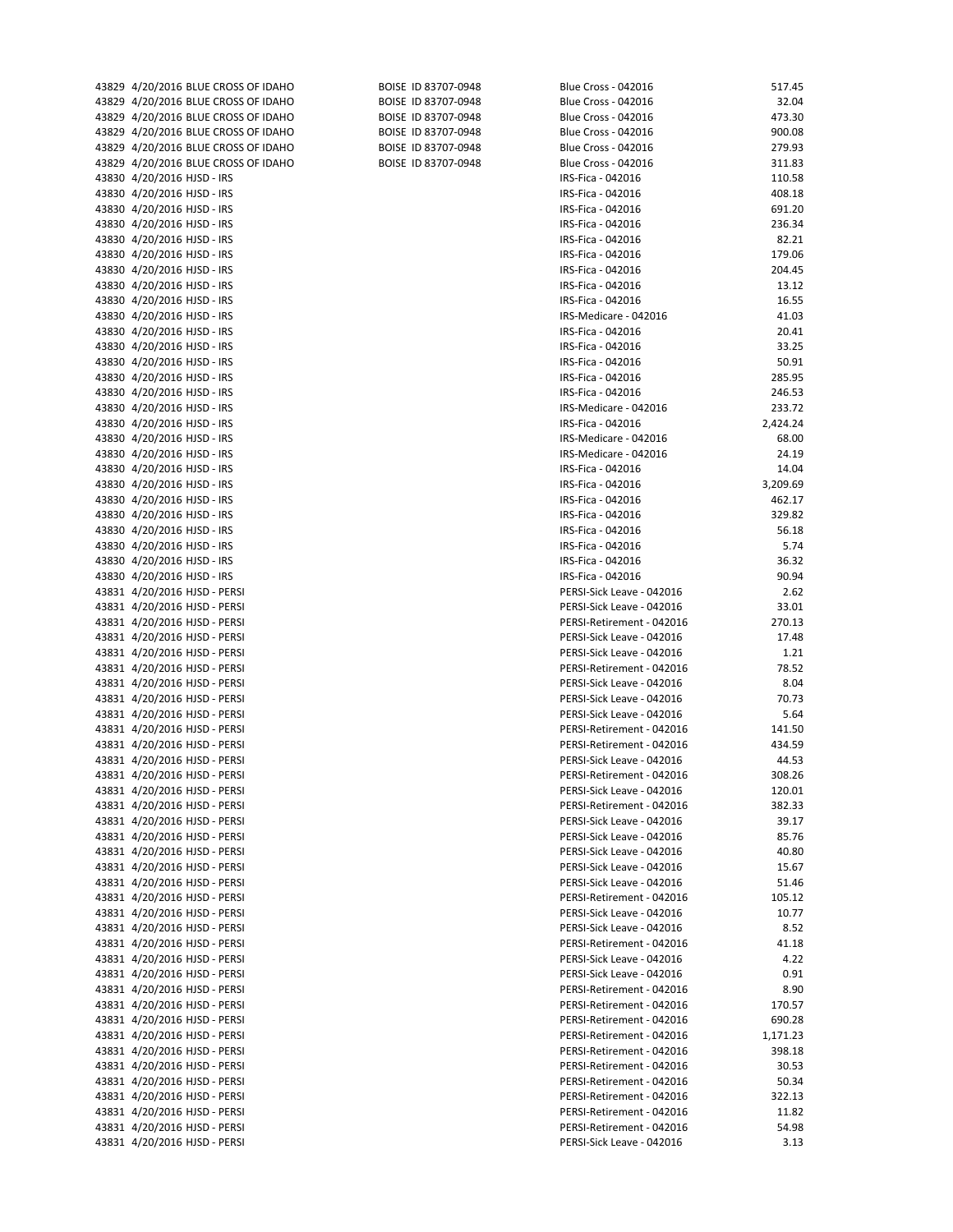| 43829 4/20/2016 BLUE CROSS OF IDAHO | BOISE ID 83707-0948 | Blue Cross - 042016                                    | 517.45   |
|-------------------------------------|---------------------|--------------------------------------------------------|----------|
| 43829 4/20/2016 BLUE CROSS OF IDAHO | BOISE ID 83707-0948 | <b>Blue Cross - 042016</b>                             | 32.04    |
| 43829 4/20/2016 BLUE CROSS OF IDAHO | BOISE ID 83707-0948 | <b>Blue Cross - 042016</b>                             | 473.30   |
| 43829 4/20/2016 BLUE CROSS OF IDAHO | BOISE ID 83707-0948 | <b>Blue Cross - 042016</b>                             | 900.08   |
| 43829 4/20/2016 BLUE CROSS OF IDAHO | BOISE ID 83707-0948 | <b>Blue Cross - 042016</b>                             | 279.93   |
| 43829 4/20/2016 BLUE CROSS OF IDAHO | BOISE ID 83707-0948 | Blue Cross - 042016                                    | 311.83   |
|                                     |                     |                                                        |          |
| 43830 4/20/2016 HJSD - IRS          |                     | IRS-Fica - 042016                                      | 110.58   |
| 43830 4/20/2016 HJSD - IRS          |                     | IRS-Fica - 042016                                      | 408.18   |
| 43830 4/20/2016 HJSD - IRS          |                     | IRS-Fica - 042016                                      | 691.20   |
| 43830 4/20/2016 HJSD - IRS          |                     | IRS-Fica - 042016                                      | 236.34   |
| 43830 4/20/2016 HJSD - IRS          |                     | IRS-Fica - 042016                                      | 82.21    |
| 43830 4/20/2016 HJSD - IRS          |                     | IRS-Fica - 042016                                      | 179.06   |
| 43830 4/20/2016 HJSD - IRS          |                     | IRS-Fica - 042016                                      | 204.45   |
| 43830 4/20/2016 HJSD - IRS          |                     | IRS-Fica - 042016                                      | 13.12    |
| 43830 4/20/2016 HJSD - IRS          |                     | IRS-Fica - 042016                                      | 16.55    |
| 43830 4/20/2016 HJSD - IRS          |                     | IRS-Medicare - 042016                                  | 41.03    |
| 43830 4/20/2016 HJSD - IRS          |                     | IRS-Fica - 042016                                      | 20.41    |
| 43830 4/20/2016 HJSD - IRS          |                     | IRS-Fica - 042016                                      | 33.25    |
| 43830 4/20/2016 HJSD - IRS          |                     | IRS-Fica - 042016                                      | 50.91    |
| 43830 4/20/2016 HJSD - IRS          |                     | IRS-Fica - 042016                                      | 285.95   |
| 43830 4/20/2016 HJSD - IRS          |                     | IRS-Fica - 042016                                      | 246.53   |
| 43830 4/20/2016 HJSD - IRS          |                     | IRS-Medicare - 042016                                  | 233.72   |
| 43830 4/20/2016 HJSD - IRS          |                     | IRS-Fica - 042016                                      | 2,424.24 |
| 43830 4/20/2016 HJSD - IRS          |                     | IRS-Medicare - 042016                                  | 68.00    |
| 43830 4/20/2016 HJSD - IRS          |                     | IRS-Medicare - 042016                                  | 24.19    |
| 43830 4/20/2016 HJSD - IRS          |                     | IRS-Fica - 042016                                      | 14.04    |
| 43830 4/20/2016 HJSD - IRS          |                     | IRS-Fica - 042016                                      | 3,209.69 |
| 43830 4/20/2016 HJSD - IRS          |                     | IRS-Fica - 042016                                      | 462.17   |
| 43830 4/20/2016 HJSD - IRS          |                     | IRS-Fica - 042016                                      | 329.82   |
| 43830 4/20/2016 HJSD - IRS          |                     | IRS-Fica - 042016                                      | 56.18    |
| 43830 4/20/2016 HJSD - IRS          |                     | IRS-Fica - 042016                                      | 5.74     |
| 43830 4/20/2016 HJSD - IRS          |                     | IRS-Fica - 042016                                      | 36.32    |
| 43830 4/20/2016 HJSD - IRS          |                     | IRS-Fica - 042016                                      | 90.94    |
| 43831 4/20/2016 HJSD - PERSI        |                     | PERSI-Sick Leave - 042016                              | 2.62     |
| 43831 4/20/2016 HJSD - PERSI        |                     | PERSI-Sick Leave - 042016                              | 33.01    |
| 43831 4/20/2016 HJSD - PERSI        |                     | PERSI-Retirement - 042016                              | 270.13   |
| 43831 4/20/2016 HJSD - PERSI        |                     | PERSI-Sick Leave - 042016                              | 17.48    |
| 43831 4/20/2016 HJSD - PERSI        |                     | PERSI-Sick Leave - 042016                              | 1.21     |
| 43831 4/20/2016 HJSD - PERSI        |                     | PERSI-Retirement - 042016                              | 78.52    |
|                                     |                     |                                                        | 8.04     |
| 43831 4/20/2016 HJSD - PERSI        |                     | PERSI-Sick Leave - 042016<br>PERSI-Sick Leave - 042016 | 70.73    |
| 43831 4/20/2016 HJSD - PERSI        |                     | PERSI-Sick Leave - 042016                              |          |
| 43831 4/20/2016 HJSD - PERSI        |                     |                                                        | 5.64     |
| 43831 4/20/2016 HJSD - PERSI        |                     | PERSI-Retirement - 042016                              | 141.50   |
| 43831 4/20/2016 HJSD - PERSI        |                     | PERSI-Retirement - 042016                              | 434.59   |
| 43831 4/20/2016 HJSD - PERSI        |                     | PERSI-Sick Leave - 042016                              | 44.53    |
| 43831 4/20/2016 HJSD - PERSI        |                     | PERSI-Retirement - 042016                              | 308.26   |
| 43831 4/20/2016 HJSD - PERSI        |                     | PERSI-Sick Leave - 042016                              | 120.01   |
| 43831 4/20/2016 HJSD - PERSI        |                     | PERSI-Retirement - 042016                              | 382.33   |
| 43831 4/20/2016 HJSD - PERSI        |                     | PERSI-Sick Leave - 042016                              | 39.17    |
| 43831 4/20/2016 HJSD - PERSI        |                     | PERSI-Sick Leave - 042016                              | 85.76    |
| 43831 4/20/2016 HJSD - PERSI        |                     | PERSI-Sick Leave - 042016                              | 40.80    |
| 43831 4/20/2016 HJSD - PERSI        |                     | PERSI-Sick Leave - 042016                              | 15.67    |
| 43831 4/20/2016 HJSD - PERSI        |                     | PERSI-Sick Leave - 042016                              | 51.46    |
| 43831 4/20/2016 HJSD - PERSI        |                     | PERSI-Retirement - 042016                              | 105.12   |
| 43831 4/20/2016 HJSD - PERSI        |                     | PERSI-Sick Leave - 042016                              | 10.77    |
| 43831 4/20/2016 HJSD - PERSI        |                     | PERSI-Sick Leave - 042016                              | 8.52     |
| 43831 4/20/2016 HJSD - PERSI        |                     | PERSI-Retirement - 042016                              | 41.18    |
| 43831 4/20/2016 HJSD - PERSI        |                     | PERSI-Sick Leave - 042016                              | 4.22     |
| 43831 4/20/2016 HJSD - PERSI        |                     | PERSI-Sick Leave - 042016                              | 0.91     |
| 43831 4/20/2016 HJSD - PERSI        |                     | PERSI-Retirement - 042016                              | 8.90     |
| 43831 4/20/2016 HJSD - PERSI        |                     | PERSI-Retirement - 042016                              | 170.57   |
| 43831 4/20/2016 HJSD - PERSI        |                     | PERSI-Retirement - 042016                              | 690.28   |
| 43831 4/20/2016 HJSD - PERSI        |                     | PERSI-Retirement - 042016                              | 1,171.23 |
| 43831 4/20/2016 HJSD - PERSI        |                     | PERSI-Retirement - 042016                              | 398.18   |
| 43831 4/20/2016 HJSD - PERSI        |                     | PERSI-Retirement - 042016                              | 30.53    |
| 43831 4/20/2016 HJSD - PERSI        |                     | PERSI-Retirement - 042016                              | 50.34    |
| 43831 4/20/2016 HJSD - PERSI        |                     | PERSI-Retirement - 042016                              | 322.13   |
| 43831 4/20/2016 HJSD - PERSI        |                     | PERSI-Retirement - 042016                              | 11.82    |
| 43831 4/20/2016 HJSD - PERSI        |                     | PERSI-Retirement - 042016                              | 54.98    |
| 43831 4/20/2016 HJSD - PERSI        |                     | PERSI-Sick Leave - 042016                              | 3.13     |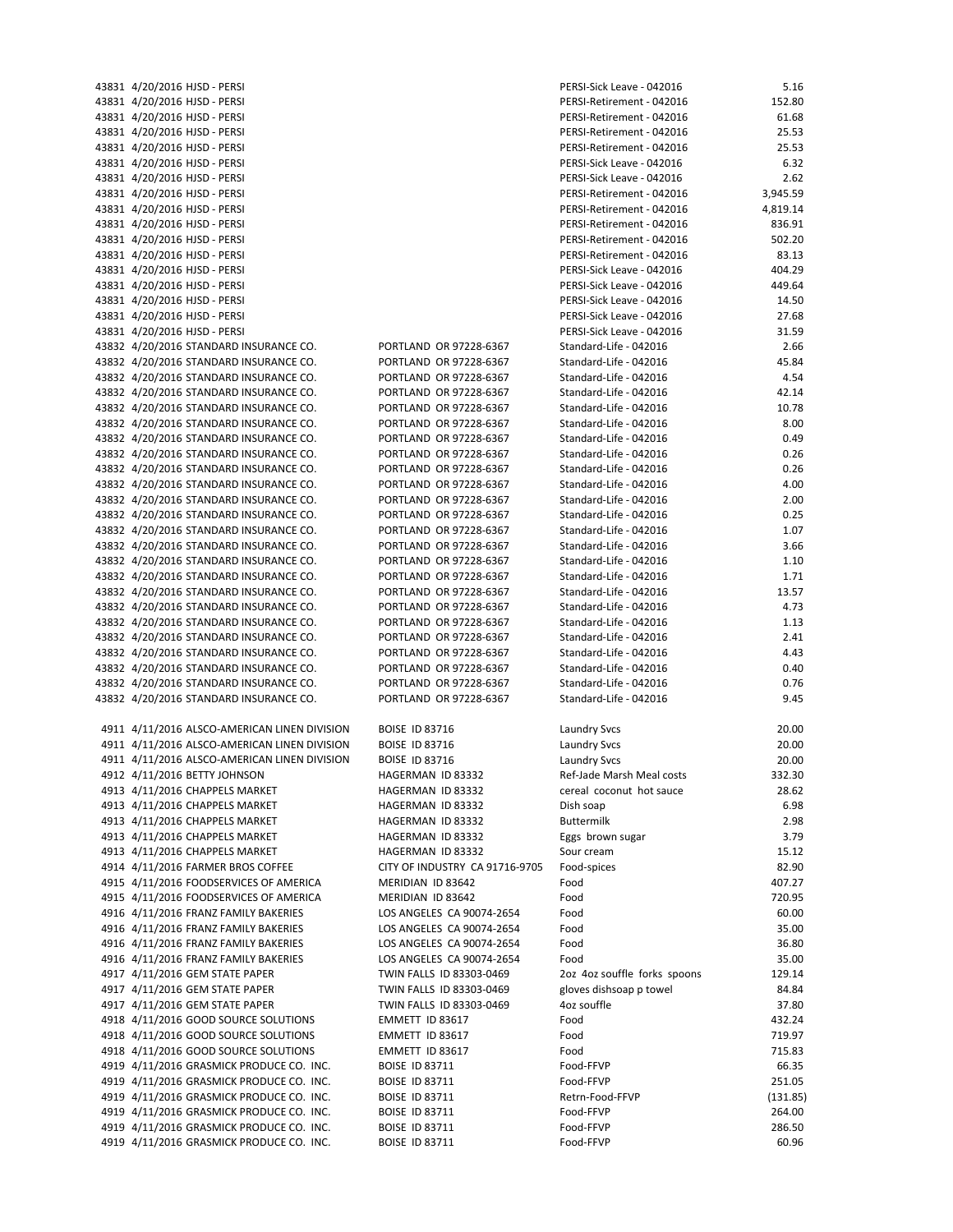| 43831 4/20/2016 HJSD - PERSI                 |                                | PERSI-Sick Leave - 042016    | 5.16     |
|----------------------------------------------|--------------------------------|------------------------------|----------|
| 43831 4/20/2016 HJSD - PERSI                 |                                | PERSI-Retirement - 042016    | 152.80   |
| 43831 4/20/2016 HJSD - PERSI                 |                                | PERSI-Retirement - 042016    | 61.68    |
|                                              |                                |                              |          |
| 43831 4/20/2016 HJSD - PERSI                 |                                | PERSI-Retirement - 042016    | 25.53    |
| 43831 4/20/2016 HJSD - PERSI                 |                                | PERSI-Retirement - 042016    | 25.53    |
| 43831 4/20/2016 HJSD - PERSI                 |                                | PERSI-Sick Leave - 042016    | 6.32     |
| 43831 4/20/2016 HJSD - PERSI                 |                                | PERSI-Sick Leave - 042016    | 2.62     |
| 43831 4/20/2016 HJSD - PERSI                 |                                | PERSI-Retirement - 042016    | 3,945.59 |
|                                              |                                |                              |          |
| 43831 4/20/2016 HJSD - PERSI                 |                                | PERSI-Retirement - 042016    | 4,819.14 |
| 43831 4/20/2016 HJSD - PERSI                 |                                | PERSI-Retirement - 042016    | 836.91   |
| 43831 4/20/2016 HJSD - PERSI                 |                                | PERSI-Retirement - 042016    | 502.20   |
| 43831 4/20/2016 HJSD - PERSI                 |                                | PERSI-Retirement - 042016    | 83.13    |
| 43831 4/20/2016 HJSD - PERSI                 |                                | PERSI-Sick Leave - 042016    | 404.29   |
|                                              |                                |                              |          |
| 43831 4/20/2016 HJSD - PERSI                 |                                | PERSI-Sick Leave - 042016    | 449.64   |
| 43831 4/20/2016 HJSD - PERSI                 |                                | PERSI-Sick Leave - 042016    | 14.50    |
| 43831 4/20/2016 HJSD - PERSI                 |                                | PERSI-Sick Leave - 042016    | 27.68    |
| 43831 4/20/2016 HJSD - PERSI                 |                                | PERSI-Sick Leave - 042016    | 31.59    |
|                                              |                                |                              |          |
| 43832 4/20/2016 STANDARD INSURANCE CO.       | PORTLAND OR 97228-6367         | Standard-Life - 042016       | 2.66     |
| 43832 4/20/2016 STANDARD INSURANCE CO.       | PORTLAND OR 97228-6367         | Standard-Life - 042016       | 45.84    |
| 43832 4/20/2016 STANDARD INSURANCE CO.       | PORTLAND OR 97228-6367         | Standard-Life - 042016       | 4.54     |
| 43832 4/20/2016 STANDARD INSURANCE CO.       | PORTLAND OR 97228-6367         | Standard-Life - 042016       | 42.14    |
| 43832 4/20/2016 STANDARD INSURANCE CO.       | PORTLAND OR 97228-6367         | Standard-Life - 042016       | 10.78    |
|                                              |                                |                              |          |
| 43832 4/20/2016 STANDARD INSURANCE CO.       | PORTLAND OR 97228-6367         | Standard-Life - 042016       | 8.00     |
| 43832 4/20/2016 STANDARD INSURANCE CO.       | PORTLAND OR 97228-6367         | Standard-Life - 042016       | 0.49     |
| 43832 4/20/2016 STANDARD INSURANCE CO.       | PORTLAND OR 97228-6367         | Standard-Life - 042016       | 0.26     |
| 43832 4/20/2016 STANDARD INSURANCE CO.       | PORTLAND OR 97228-6367         | Standard-Life - 042016       | 0.26     |
| 43832 4/20/2016 STANDARD INSURANCE CO.       | PORTLAND OR 97228-6367         |                              | 4.00     |
|                                              |                                | Standard-Life - 042016       |          |
| 43832 4/20/2016 STANDARD INSURANCE CO.       | PORTLAND OR 97228-6367         | Standard-Life - 042016       | 2.00     |
| 43832 4/20/2016 STANDARD INSURANCE CO.       | PORTLAND OR 97228-6367         | Standard-Life - 042016       | 0.25     |
| 43832 4/20/2016 STANDARD INSURANCE CO.       | PORTLAND OR 97228-6367         | Standard-Life - 042016       | 1.07     |
| 43832 4/20/2016 STANDARD INSURANCE CO.       | PORTLAND OR 97228-6367         | Standard-Life - 042016       | 3.66     |
|                                              |                                |                              |          |
| 43832 4/20/2016 STANDARD INSURANCE CO.       | PORTLAND OR 97228-6367         | Standard-Life - 042016       | 1.10     |
| 43832 4/20/2016 STANDARD INSURANCE CO.       | PORTLAND OR 97228-6367         | Standard-Life - 042016       | 1.71     |
| 43832 4/20/2016 STANDARD INSURANCE CO.       | PORTLAND OR 97228-6367         | Standard-Life - 042016       | 13.57    |
| 43832 4/20/2016 STANDARD INSURANCE CO.       | PORTLAND OR 97228-6367         | Standard-Life - 042016       | 4.73     |
| 43832 4/20/2016 STANDARD INSURANCE CO.       | PORTLAND OR 97228-6367         | Standard-Life - 042016       | 1.13     |
|                                              |                                |                              |          |
| 43832 4/20/2016 STANDARD INSURANCE CO.       | PORTLAND OR 97228-6367         | Standard-Life - 042016       | 2.41     |
| 43832 4/20/2016 STANDARD INSURANCE CO.       | PORTLAND OR 97228-6367         | Standard-Life - 042016       | 4.43     |
| 43832 4/20/2016 STANDARD INSURANCE CO.       | PORTLAND OR 97228-6367         | Standard-Life - 042016       | 0.40     |
| 43832 4/20/2016 STANDARD INSURANCE CO.       | PORTLAND OR 97228-6367         | Standard-Life - 042016       | 0.76     |
| 43832 4/20/2016 STANDARD INSURANCE CO.       | PORTLAND OR 97228-6367         | Standard-Life - 042016       | 9.45     |
|                                              |                                |                              |          |
| 4911 4/11/2016 ALSCO-AMERICAN LINEN DIVISION | <b>BOISE ID 83716</b>          | <b>Laundry Svcs</b>          | 20.00    |
| 4911 4/11/2016 ALSCO-AMERICAN LINEN DIVISION | <b>BOISE ID 83716</b>          | <b>Laundry Svcs</b>          | 20.00    |
|                                              |                                |                              |          |
| 4911 4/11/2016 ALSCO-AMERICAN LINEN DIVISION | <b>BOISE ID 83716</b>          | <b>Laundry Svcs</b>          | 20.00    |
| 4912 4/11/2016 BETTY JOHNSON                 | HAGERMAN ID 83332              | Ref-Jade Marsh Meal costs    | 332.30   |
| 4913 4/11/2016 CHAPPELS MARKET               | HAGERMAN ID 83332              | cereal coconut hot sauce     | 28.62    |
| 4913 4/11/2016 CHAPPELS MARKET               | HAGERMAN ID 83332              | Dish soap                    | 6.98     |
| 4913 4/11/2016 CHAPPELS MARKET               |                                | <b>Buttermilk</b>            | 2.98     |
|                                              | HAGERMAN ID 83332              |                              |          |
| 4913 4/11/2016 CHAPPELS MARKET               | HAGERMAN ID 83332              | Eggs brown sugar             | 3.79     |
| 4913 4/11/2016 CHAPPELS MARKET               | HAGERMAN ID 83332              | Sour cream                   | 15.12    |
| 4914 4/11/2016 FARMER BROS COFFEE            | CITY OF INDUSTRY CA 91716-9705 | Food-spices                  | 82.90    |
| 4915 4/11/2016 FOODSERVICES OF AMERICA       | MERIDIAN ID 83642              | Food                         | 407.27   |
|                                              |                                |                              |          |
| 4915 4/11/2016 FOODSERVICES OF AMERICA       | MERIDIAN ID 83642              | Food                         | 720.95   |
| 4916 4/11/2016 FRANZ FAMILY BAKERIES         | LOS ANGELES CA 90074-2654      | Food                         | 60.00    |
| 4916 4/11/2016 FRANZ FAMILY BAKERIES         | LOS ANGELES CA 90074-2654      | Food                         | 35.00    |
| 4916 4/11/2016 FRANZ FAMILY BAKERIES         | LOS ANGELES CA 90074-2654      | Food                         | 36.80    |
| 4916 4/11/2016 FRANZ FAMILY BAKERIES         | LOS ANGELES CA 90074-2654      | Food                         | 35.00    |
|                                              |                                |                              |          |
| 4917 4/11/2016 GEM STATE PAPER               | TWIN FALLS ID 83303-0469       | 2oz 4oz souffle forks spoons | 129.14   |
| 4917 4/11/2016 GEM STATE PAPER               | TWIN FALLS ID 83303-0469       | gloves dishsoap p towel      | 84.84    |
| 4917 4/11/2016 GEM STATE PAPER               | TWIN FALLS ID 83303-0469       | 4oz souffle                  | 37.80    |
| 4918 4/11/2016 GOOD SOURCE SOLUTIONS         | EMMETT ID 83617                | Food                         | 432.24   |
|                                              |                                |                              |          |
| 4918 4/11/2016 GOOD SOURCE SOLUTIONS         | EMMETT ID 83617                | Food                         | 719.97   |
| 4918 4/11/2016 GOOD SOURCE SOLUTIONS         | EMMETT ID 83617                | Food                         | 715.83   |
| 4919 4/11/2016 GRASMICK PRODUCE CO. INC.     | <b>BOISE ID 83711</b>          | Food-FFVP                    | 66.35    |
| 4919 4/11/2016 GRASMICK PRODUCE CO. INC.     | <b>BOISE ID 83711</b>          | Food-FFVP                    | 251.05   |
| 4919 4/11/2016 GRASMICK PRODUCE CO. INC.     | <b>BOISE ID 83711</b>          | Retrn-Food-FFVP              | (131.85) |
|                                              |                                |                              |          |
| 4919 4/11/2016 GRASMICK PRODUCE CO. INC.     | <b>BOISE ID 83711</b>          | Food-FFVP                    | 264.00   |
| 4919 4/11/2016 GRASMICK PRODUCE CO. INC.     | <b>BOISE ID 83711</b>          | Food-FFVP                    | 286.50   |
| 4919 4/11/2016 GRASMICK PRODUCE CO. INC.     | <b>BOISE ID 83711</b>          | Food-FFVP                    | 60.96    |
|                                              |                                |                              |          |